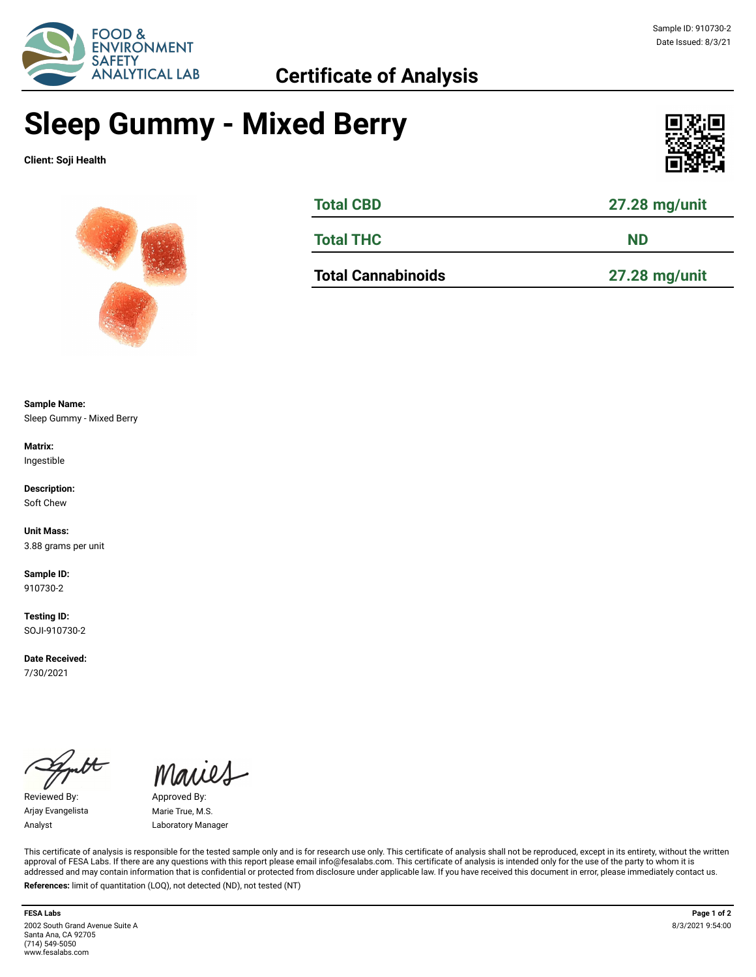

## **Sleep Gummy - Mixed Berry**

**Client: Soji Health**





| <b>Total CBD</b> | 27.28 mg/unit |
|------------------|---------------|
| <b>Total THC</b> | <b>ND</b>     |
|                  |               |

**Total Cannabinoids 27.28 mg/unit**

**Sample Name:**  Sleep Gummy - Mixed Berry

**Matrix:** Ingestible

**Description:** Soft Chew

**Unit Mass:**  3.88 grams per unit

**Sample ID:**  910730-2

**Testing ID:**  SOJI-910730-2

**Date Received:**  7/30/2021

 $\overline{\mathcal{H}}$ 

Reviewed By: Approved By: Arjay Evangelista Marie True, M.S.

Maries

Analyst Laboratory Manager

This certificate of analysis is responsible for the tested sample only and is for research use only. This certificate of analysis shall not be reproduced, except in its entirety, without the written approval of FESA Labs. If there are any questions with this report please email info@fesalabs.com. This certificate of analysis is intended only for the use of the party to whom it is addressed and may contain information that is confidential or protected from disclosure under applicable law. If you have received this document in error, please immediately contact us. **References:** limit of quantitation (LOQ), not detected (ND), not tested (NT)

**FESA Labs Page 1 of 2** 2002 South Grand Avenue Suite A Santa Ana, CA 92705 (714) 549-5050 www.fesalabs.com